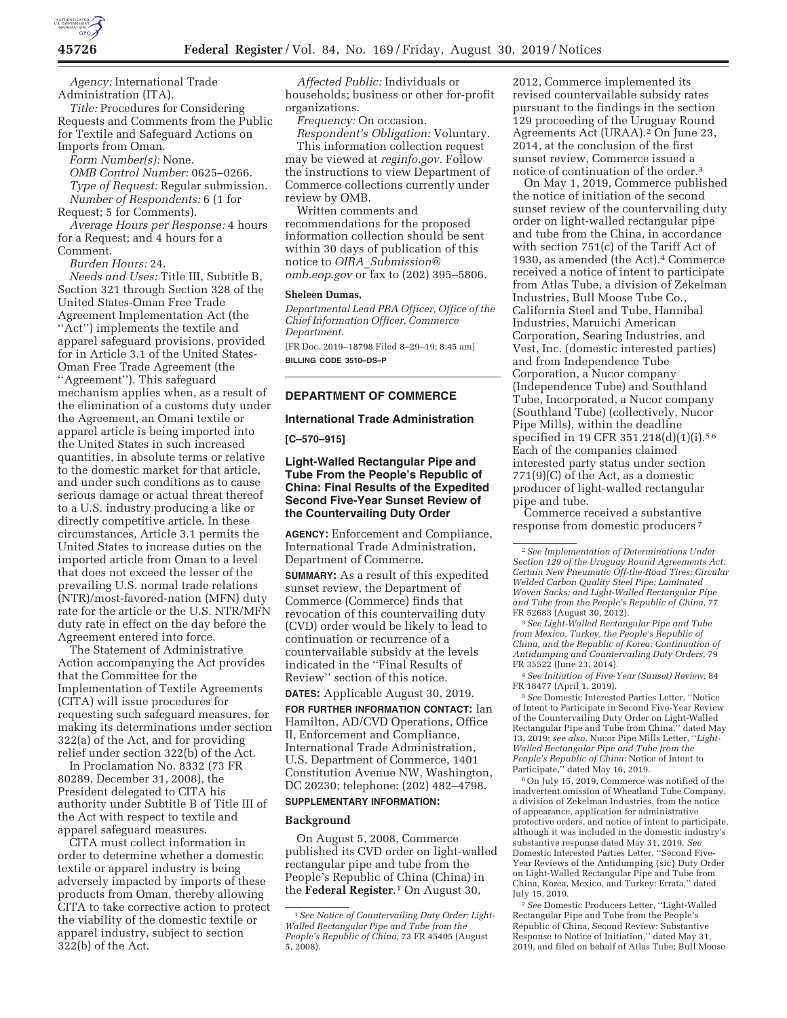

*Agency:* International Trade Administration (ITA).

*Title:* Procedures for Considering Requests and Comments from the Public for Textile and Safeguard Actions on Imports from Oman.

*Form Number(s):* None.

*OMB Control Number:* 0625–0266. *Type of Request:* Regular submission.

*Number of Respondents:* 6 (1 for Request; 5 for Comments).

*Average Hours per Response:* 4 hours for a Request; and 4 hours for a Comment.

*Burden Hours:* 24.

*Needs and Uses:* Title III, Subtitle B, Section 321 through Section 328 of the United States-Oman Free Trade Agreement Implementation Act (the "Act") implements the textile and apparel safeguard provisions, provided for in Article 3.1 of the United States-Oman Free Trade Agreement (the ''Agreement''). This safeguard mechanism applies when, as a result of the elimination of a customs duty under the Agreement, an Omani textile or apparel article is being imported into the United States in such increased quantities, in absolute terms or relative to the domestic market for that article, and under such conditions as to cause serious damage or actual threat thereof to a U.S. industry producing a like or directly competitive article. In these circumstances, Article 3.1 permits the United States to increase duties on the imported article from Oman to a level that does not exceed the lesser of the prevailing U.S. normal trade relations (NTR)/most-favored-nation (MFN) duty rate for the article or the U.S. NTR/MFN duty rate in effect on the day before the Agreement entered into force.

The Statement of Administrative Action accompanying the Act provides that the Committee for the Implementation of Textile Agreements (CITA) will issue procedures for requesting such safeguard measures, for making its determinations under section 322(a) of the Act, and for providing relief under section 322(b) of the Act.

In Proclamation No. 8332 (73 FR 80289, December 31, 2008), the President delegated to CITA his authority under Subtitle B of Title III of the Act with respect to textile and apparel safeguard measures.

CITA must collect information in order to determine whether a domestic textile or apparel industry is being adversely impacted by imports of these products from Oman, thereby allowing CITA to take corrective action to protect the viability of the domestic textile or apparel industry, subject to section 322(b) of the Act.

*Affected Public:* Individuals or households; business or other for-profit organizations.

*Frequency:* On occasion.

*Respondent's Obligation:* Voluntary. This information collection request may be viewed at *reginfo.gov.* Follow the instructions to view Department of Commerce collections currently under review by OMB.

Written comments and recommendations for the proposed information collection should be sent within 30 days of publication of this notice to *OIRA*\_*Submission@ omb.eop.gov* or fax to (202) 395–5806.

### **Sheleen Dumas,**

*Departmental Lead PRA Officer, Office of the Chief Information Officer, Commerce Department.* 

[FR Doc. 2019–18798 Filed 8–29–19; 8:45 am] **BILLING CODE 3510–DS–P** 

# **DEPARTMENT OF COMMERCE**

#### **International Trade Administration**

#### **[C–570–915]**

## **Light-Walled Rectangular Pipe and Tube From the People's Republic of China: Final Results of the Expedited Second Five-Year Sunset Review of the Countervailing Duty Order**

**AGENCY:** Enforcement and Compliance, International Trade Administration, Department of Commerce.

**SUMMARY:** As a result of this expedited sunset review, the Department of Commerce (Commerce) finds that revocation of this countervailing duty (CVD) order would be likely to lead to continuation or recurrence of a countervailable subsidy at the levels indicated in the ''Final Results of Review'' section of this notice.

**DATES:** Applicable August 30, 2019.

**FOR FURTHER INFORMATION CONTACT:** Ian Hamilton, AD/CVD Operations, Office II, Enforcement and Compliance, International Trade Administration, U.S. Department of Commerce, 1401 Constitution Avenue NW, Washington, DC 20230; telephone: (202) 482–4798.

### **SUPPLEMENTARY INFORMATION:**

#### **Background**

On August 5, 2008, Commerce published its CVD order on light-walled rectangular pipe and tube from the People's Republic of China (China) in the **Federal Register**.1 On August 30,

2012, Commerce implemented its revised countervailable subsidy rates pursuant to the findings in the section 129 proceeding of the Uruguay Round Agreements Act (URAA).2 On June 23, 2014, at the conclusion of the first sunset review, Commerce issued a notice of continuation of the order.3

On May 1, 2019, Commerce published the notice of initiation of the second sunset review of the countervailing duty order on light-walled rectangular pipe and tube from the China, in accordance with section 751(c) of the Tariff Act of 1930, as amended (the Act).4 Commerce received a notice of intent to participate from Atlas Tube, a division of Zekelman Industries, Bull Moose Tube Co., California Steel and Tube, Hannibal Industries, Maruichi American Corporation, Searing Industries, and Vest, Inc. (domestic interested parties) and from Independence Tube Corporation, a Nucor company (Independence Tube) and Southland Tube, Incorporated, a Nucor company (Southland Tube) (collectively, Nucor Pipe Mills), within the deadline specified in 19 CFR 351.218(d)(1)(i).5 6 Each of the companies claimed interested party status under section 771(9)(C) of the Act, as a domestic producer of light-walled rectangular pipe and tube.

Commerce received a substantive response from domestic producers 7

3*See Light-Walled Rectangular Pipe and Tube from Mexico, Turkey, the People's Republic of China, and the Republic of Korea: Continuation of Antidumping and Countervailing Duty Orders,* 79 FR 35522 (June 23, 2014).

4*See Initiation of Five-Year (Sunset) Review,* 84 FR 18477 (April 1, 2019).

5*See* Domestic Interested Parties Letter, ''Notice of Intent to Participate in Second Five-Year Review of the Countervailing Duty Order on Light-Walled Rectangular Pipe and Tube from China,'' dated May 13, 2019; *see also,* Nucor Pipe Mills Letter, ''*Light-Walled Rectangular Pipe and Tube from the People's Republic of China:* Notice of Intent to Participate,'' dated May 16, 2019.

6On July 15, 2019, Commerce was notified of the inadvertent omission of Wheatland Tube Company, a division of Zekelman Industries, from the notice of appearance, application for administrative protective orders, and notice of intent to participate, although it was included in the domestic industry's substantive response dated May 31, 2019. *See*  Domestic Interested Parties Letter, ''Second Five-Year Reviews of the Antidumping {sic} Duty Order on Light-Walled Rectangular Pipe and Tube from China, Korea, Mexico, and Turkey: Errata,'' dated July 15, 2019.

7*See* Domestic Producers Letter, ''Light-Walled Rectangular Pipe and Tube from the People's Republic of China, Second Review: Substantive Response to Notice of Initiation,'' dated May 31, 2019, and filed on behalf of Atlas Tube; Bull Moose

<sup>1</sup>*See Notice of Countervailing Duty Order: Light-Walled Rectangular Pipe and Tube from the People's Republic of China,* 73 FR 45405 (August 5, 2008).

<sup>2</sup>*See Implementation of Determinations Under Section 129 of the Uruguay Round Agreements Act: Certain New Pneumatic Off-the-Road Tires; Circular Welded Carbon Quality Steel Pipe; Laminated Woven Sacks; and Light-Walled Rectangular Pipe and Tube from the People's Republic of China,* 77 FR 52683 (August 30, 2012).